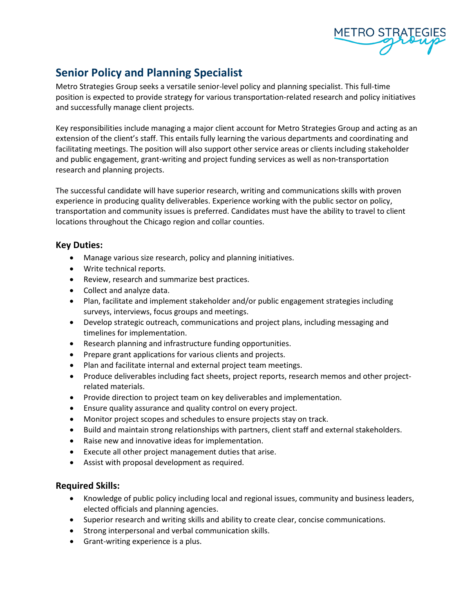

# **Senior Policy and Planning Specialist**

Metro Strategies Group seeks a versatile senior-level policy and planning specialist. This full-time position is expected to provide strategy for various transportation-related research and policy initiatives and successfully manage client projects.

Key responsibilities include managing a major client account for Metro Strategies Group and acting as an extension of the client's staff. This entails fully learning the various departments and coordinating and facilitating meetings. The position will also support other service areas or clients including stakeholder and public engagement, grant-writing and project funding services as well as non-transportation research and planning projects.

The successful candidate will have superior research, writing and communications skills with proven experience in producing quality deliverables. Experience working with the public sector on policy, transportation and community issues is preferred. Candidates must have the ability to travel to client locations throughout the Chicago region and collar counties.

## **Key Duties:**

- Manage various size research, policy and planning initiatives.
- Write technical reports.
- Review, research and summarize best practices.
- Collect and analyze data.
- Plan, facilitate and implement stakeholder and/or public engagement strategies including surveys, interviews, focus groups and meetings.
- Develop strategic outreach, communications and project plans, including messaging and timelines for implementation.
- Research planning and infrastructure funding opportunities.
- Prepare grant applications for various clients and projects.
- Plan and facilitate internal and external project team meetings.
- Produce deliverables including fact sheets, project reports, research memos and other projectrelated materials.
- Provide direction to project team on key deliverables and implementation.
- Ensure quality assurance and quality control on every project.
- Monitor project scopes and schedules to ensure projects stay on track.
- Build and maintain strong relationships with partners, client staff and external stakeholders.
- Raise new and innovative ideas for implementation.
- Execute all other project management duties that arise.
- Assist with proposal development as required.

#### **Required Skills:**

- Knowledge of public policy including local and regional issues, community and business leaders, elected officials and planning agencies.
- Superior research and writing skills and ability to create clear, concise communications.
- Strong interpersonal and verbal communication skills.
- Grant-writing experience is a plus.